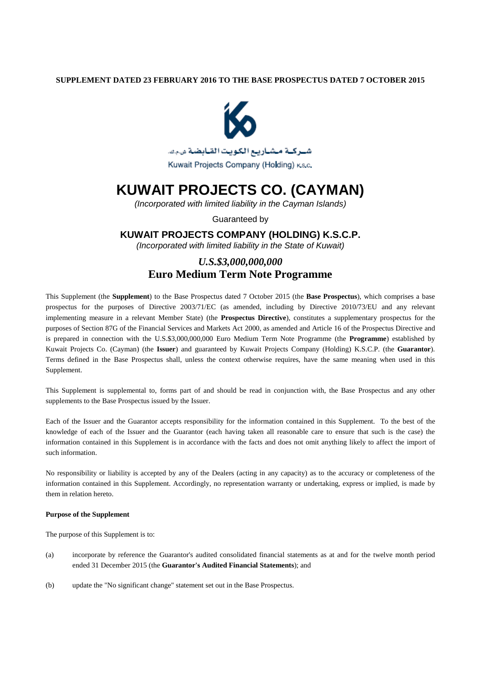### **SUPPLEMENT DATED 23 FEBRUARY 2016 TO THE BASE PROSPECTUS DATED 7 OCTOBER 2015**



# **KUWAIT PROJECTS CO. (CAYMAN)**

*(Incorporated with limited liability in the Cayman Islands)*

Guaranteed by

### **KUWAIT PROJECTS COMPANY (HOLDING) K.S.C.P.**

*(Incorporated with limited liability in the State of Kuwait)*

## *U.S.\$3,000,000,000* **Euro Medium Term Note Programme**

This Supplement (the **Supplement**) to the Base Prospectus dated 7 October 2015 (the **Base Prospectus**), which comprises a base prospectus for the purposes of Directive 2003/71/EC (as amended, including by Directive 2010/73/EU and any relevant implementing measure in a relevant Member State) (the **Prospectus Directive**), constitutes a supplementary prospectus for the purposes of Section 87G of the Financial Services and Markets Act 2000, as amended and Article 16 of the Prospectus Directive and is prepared in connection with the U.S.\$3,000,000,000 Euro Medium Term Note Programme (the **Programme**) established by Kuwait Projects Co. (Cayman) (the **Issuer**) and guaranteed by Kuwait Projects Company (Holding) K.S.C.P. (the **Guarantor**). Terms defined in the Base Prospectus shall, unless the context otherwise requires, have the same meaning when used in this Supplement.

This Supplement is supplemental to, forms part of and should be read in conjunction with, the Base Prospectus and any other supplements to the Base Prospectus issued by the Issuer.

Each of the Issuer and the Guarantor accepts responsibility for the information contained in this Supplement. To the best of the knowledge of each of the Issuer and the Guarantor (each having taken all reasonable care to ensure that such is the case) the information contained in this Supplement is in accordance with the facts and does not omit anything likely to affect the import of such information.

No responsibility or liability is accepted by any of the Dealers (acting in any capacity) as to the accuracy or completeness of the information contained in this Supplement. Accordingly, no representation warranty or undertaking, express or implied, is made by them in relation hereto.

### **Purpose of the Supplement**

The purpose of this Supplement is to:

- (a) incorporate by reference the Guarantor's audited consolidated financial statements as at and for the twelve month period ended 31 December 2015 (the **Guarantor's Audited Financial Statements**); and
- (b) update the "No significant change" statement set out in the Base Prospectus.